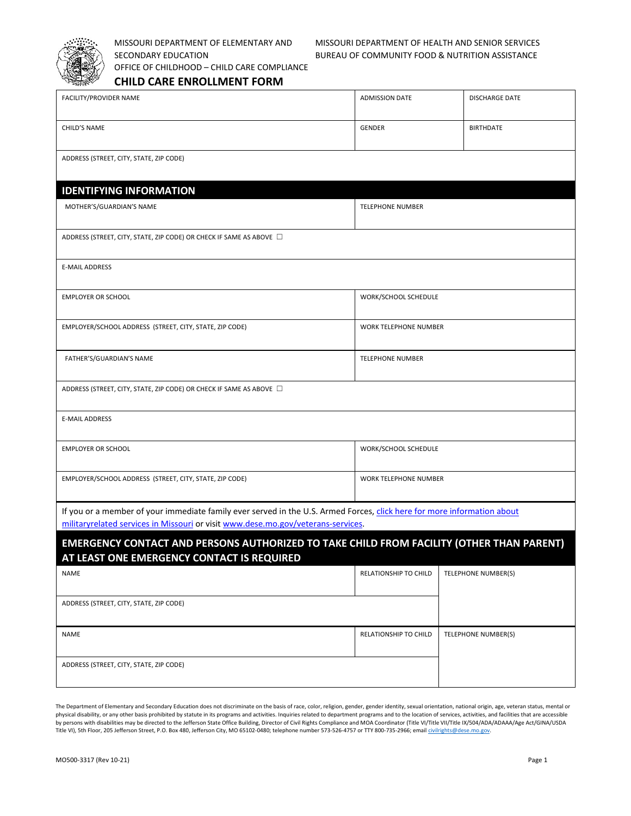

OFFICE OF CHILDHOOD – CHILD CARE COMPLIANCE

## MISSOURI DEPARTMENT OF ELEMENTARY AND MISSOURI DEPARTMENT OF HEALTH AND SENIOR SERVICES SECONDARY EDUCATION BUREAU OF COMMUNITY FOOD & NUTRITION ASSISTANCE

**CHILD CARE ENROLLMENT FORM** 

| FACILITY/PROVIDER NAME                                                                                                                                                                                      | <b>ADMISSION DATE</b>   | <b>DISCHARGE DATE</b> |  |  |  |  |
|-------------------------------------------------------------------------------------------------------------------------------------------------------------------------------------------------------------|-------------------------|-----------------------|--|--|--|--|
| CHILD'S NAME                                                                                                                                                                                                | <b>GENDER</b>           | <b>BIRTHDATE</b>      |  |  |  |  |
| ADDRESS (STREET, CITY, STATE, ZIP CODE)                                                                                                                                                                     |                         |                       |  |  |  |  |
| <b>IDENTIFYING INFORMATION</b>                                                                                                                                                                              |                         |                       |  |  |  |  |
| MOTHER'S/GUARDIAN'S NAME                                                                                                                                                                                    | <b>TELEPHONE NUMBER</b> |                       |  |  |  |  |
| ADDRESS (STREET, CITY, STATE, ZIP CODE) OR CHECK IF SAME AS ABOVE □                                                                                                                                         |                         |                       |  |  |  |  |
| <b>E-MAIL ADDRESS</b>                                                                                                                                                                                       |                         |                       |  |  |  |  |
| <b>EMPLOYER OR SCHOOL</b>                                                                                                                                                                                   | WORK/SCHOOL SCHEDULE    |                       |  |  |  |  |
| EMPLOYER/SCHOOL ADDRESS (STREET, CITY, STATE, ZIP CODE)                                                                                                                                                     | WORK TELEPHONE NUMBER   |                       |  |  |  |  |
| FATHER'S/GUARDIAN'S NAME                                                                                                                                                                                    | <b>TELEPHONE NUMBER</b> |                       |  |  |  |  |
| ADDRESS (STREET, CITY, STATE, ZIP CODE) OR CHECK IF SAME AS ABOVE □                                                                                                                                         |                         |                       |  |  |  |  |
| <b>E-MAIL ADDRESS</b>                                                                                                                                                                                       |                         |                       |  |  |  |  |
| <b>EMPLOYER OR SCHOOL</b>                                                                                                                                                                                   | WORK/SCHOOL SCHEDULE    |                       |  |  |  |  |
| EMPLOYER/SCHOOL ADDRESS (STREET, CITY, STATE, ZIP CODE)                                                                                                                                                     | WORK TELEPHONE NUMBER   |                       |  |  |  |  |
| If you or a member of your immediate family ever served in the U.S. Armed Forces, click here for more information about<br>militaryrelated services in Missouri or visit www.dese.mo.gov/veterans-services. |                         |                       |  |  |  |  |
| <b>EMERGENCY CONTACT AND PERSONS AUTHORIZED TO TAKE CHILD FROM FACILITY (OTHER THAN PARENT)</b><br>AT LEAST ONE EMERGENCY CONTACT IS REQUIRED                                                               |                         |                       |  |  |  |  |
| <b>NAME</b>                                                                                                                                                                                                 | RELATIONSHIP TO CHILD   | TELEPHONE NUMBER(S)   |  |  |  |  |
| ADDRESS (STREET, CITY, STATE, ZIP CODE)                                                                                                                                                                     |                         |                       |  |  |  |  |
| <b>NAME</b>                                                                                                                                                                                                 | RELATIONSHIP TO CHILD   | TELEPHONE NUMBER(S)   |  |  |  |  |
| ADDRESS (STREET, CITY, STATE, ZIP CODE)                                                                                                                                                                     |                         |                       |  |  |  |  |

The Department of Elementary and Secondary Education does not discriminate on the basis of race, color, religion, gender, gender identity, sexual orientation, national origin, age, veteran status, mental or physical disability, or any other basis prohibited by statute in its programs and activities. Inquiries related to department programs and to the location of services, activities, and facilities that are accessible by persons with disabilities may be directed to the Jefferson State Office Building, Director of Civil Rights Compliance and MOA Coordinator (Title VI/Title VII/Title IX/504/ADA/ADAAA/Age Act/GINA/USDA<br>Title VI), 5th Floor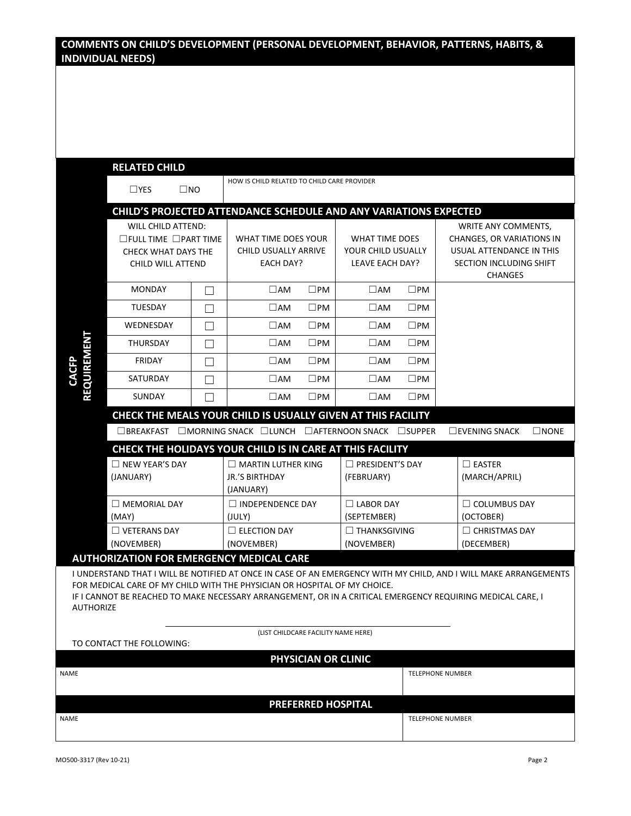## **COMMENTS ON CHILD'S DEVELOPMENT (PERSONAL DEVELOPMENT, BEHAVIOR, PATTERNS, HABITS, & INDIVIDUAL NEEDS)**

|                                                                                                                                                                                                                                                                                                                                                                                    | <b>RELATED CHILD</b><br>$\Box$ YES                                                                        | $\square$ NO | HOW IS CHILD RELATED TO CHILD CARE PROVIDER                       |                           |                                                                       |              |                                                                                                                           |  |
|------------------------------------------------------------------------------------------------------------------------------------------------------------------------------------------------------------------------------------------------------------------------------------------------------------------------------------------------------------------------------------|-----------------------------------------------------------------------------------------------------------|--------------|-------------------------------------------------------------------|---------------------------|-----------------------------------------------------------------------|--------------|---------------------------------------------------------------------------------------------------------------------------|--|
|                                                                                                                                                                                                                                                                                                                                                                                    |                                                                                                           |              |                                                                   |                           |                                                                       |              |                                                                                                                           |  |
|                                                                                                                                                                                                                                                                                                                                                                                    |                                                                                                           |              | CHILD'S PROJECTED ATTENDANCE SCHEDULE AND ANY VARIATIONS EXPECTED |                           |                                                                       |              |                                                                                                                           |  |
|                                                                                                                                                                                                                                                                                                                                                                                    | WILL CHILD ATTEND:<br>$\square$ FULL TIME $\square$ PART TIME<br>CHECK WHAT DAYS THE<br>CHILD WILL ATTEND |              | WHAT TIME DOES YOUR<br>CHILD USUALLY ARRIVE<br><b>EACH DAY?</b>   |                           | <b>WHAT TIME DOES</b><br>YOUR CHILD USUALLY<br><b>LEAVE EACH DAY?</b> |              | WRITE ANY COMMENTS,<br>CHANGES, OR VARIATIONS IN<br>USUAL ATTENDANCE IN THIS<br>SECTION INCLUDING SHIFT<br><b>CHANGES</b> |  |
|                                                                                                                                                                                                                                                                                                                                                                                    | <b>MONDAY</b>                                                                                             | $\Box$       | $\square$ AM                                                      | $\square$ PM              | $\square$ AM                                                          | $\square$ PM |                                                                                                                           |  |
|                                                                                                                                                                                                                                                                                                                                                                                    | <b>TUESDAY</b>                                                                                            | П            | $\Box$ AM                                                         | $\square$ PM              | $\square$ AM                                                          | $\square$ PM |                                                                                                                           |  |
|                                                                                                                                                                                                                                                                                                                                                                                    | WEDNESDAY                                                                                                 | $\Box$       | $\square$ AM                                                      | $\square$ PM              | $\square$ AM                                                          | $\square$ PM |                                                                                                                           |  |
|                                                                                                                                                                                                                                                                                                                                                                                    | THURSDAY                                                                                                  | $\Box$       | $\square$ AM                                                      | $\square$ PM              | $\square$ AM                                                          | $\square$ PM |                                                                                                                           |  |
|                                                                                                                                                                                                                                                                                                                                                                                    | <b>FRIDAY</b>                                                                                             | П            | $\square$ AM                                                      | $\square$ PM              | $\square$ AM                                                          | $\square$ PM |                                                                                                                           |  |
| <b>REQUIREMENT</b><br>CACFP                                                                                                                                                                                                                                                                                                                                                        | SATURDAY                                                                                                  | П            | $\square$ AM                                                      | $\square$ PM              | $\square$ AM                                                          | $\square$ PM |                                                                                                                           |  |
|                                                                                                                                                                                                                                                                                                                                                                                    | <b>SUNDAY</b>                                                                                             | П            | $\square$ AM                                                      | $\square$ PM              | $\Box$ AM                                                             | $\square$ PM |                                                                                                                           |  |
|                                                                                                                                                                                                                                                                                                                                                                                    | CHECK THE MEALS YOUR CHILD IS USUALLY GIVEN AT THIS FACILITY                                              |              |                                                                   |                           |                                                                       |              |                                                                                                                           |  |
|                                                                                                                                                                                                                                                                                                                                                                                    |                                                                                                           |              | □BREAKFAST □MORNING SNACK □LUNCH □AFTERNOON SNACK □SUPPER         |                           |                                                                       |              | $\square$ EVENING SNACK<br>$\square$ NONE                                                                                 |  |
|                                                                                                                                                                                                                                                                                                                                                                                    |                                                                                                           |              | CHECK THE HOLIDAYS YOUR CHILD IS IN CARE AT THIS FACILITY         |                           |                                                                       |              |                                                                                                                           |  |
|                                                                                                                                                                                                                                                                                                                                                                                    | $\Box$ NEW YEAR'S DAY                                                                                     |              | $\Box$ MARTIN LUTHER KING                                         |                           | $\Box$ PRESIDENT'S DAY                                                |              | $\Box$ EASTER                                                                                                             |  |
|                                                                                                                                                                                                                                                                                                                                                                                    | (JANUARY)                                                                                                 |              | <b>JR.'S BIRTHDAY</b><br>(JANUARY)                                |                           | (FEBRUARY)                                                            |              | (MARCH/APRIL)                                                                                                             |  |
|                                                                                                                                                                                                                                                                                                                                                                                    | $\Box$ MEMORIAL DAY                                                                                       |              | $\Box$ INDEPENDENCE DAY                                           |                           | $\Box$ LABOR DAY                                                      |              | $\Box$ COLUMBUS DAY                                                                                                       |  |
|                                                                                                                                                                                                                                                                                                                                                                                    | (MAY)                                                                                                     |              | (JULY)                                                            |                           | (SEPTEMBER)                                                           |              | (OCTOBER)                                                                                                                 |  |
|                                                                                                                                                                                                                                                                                                                                                                                    | $\Box$ VETERANS DAY<br>(NOVEMBER)                                                                         |              | $\Box$ ELECTION DAY<br>(NOVEMBER)                                 |                           | $\Box$ THANKSGIVING<br>(NOVEMBER)                                     |              | $\Box$ CHRISTMAS DAY<br>(DECEMBER)                                                                                        |  |
|                                                                                                                                                                                                                                                                                                                                                                                    |                                                                                                           |              |                                                                   |                           |                                                                       |              |                                                                                                                           |  |
| <b>AUTHORIZATION FOR EMERGENCY MEDICAL CARE</b><br>I UNDERSTAND THAT I WILL BE NOTIFIED AT ONCE IN CASE OF AN EMERGENCY WITH MY CHILD, AND I WILL MAKE ARRANGEMENTS<br>FOR MEDICAL CARE OF MY CHILD WITH THE PHYSICIAN OR HOSPITAL OF MY CHOICE.<br>IF I CANNOT BE REACHED TO MAKE NECESSARY ARRANGEMENT, OR IN A CRITICAL EMERGENCY REQUIRING MEDICAL CARE, I<br><b>AUTHORIZE</b> |                                                                                                           |              |                                                                   |                           |                                                                       |              |                                                                                                                           |  |
| (LIST CHILDCARE FACILITY NAME HERE)<br>TO CONTACT THE FOLLOWING:                                                                                                                                                                                                                                                                                                                   |                                                                                                           |              |                                                                   |                           |                                                                       |              |                                                                                                                           |  |
|                                                                                                                                                                                                                                                                                                                                                                                    |                                                                                                           |              |                                                                   | PHYSICIAN OR CLINIC       |                                                                       |              |                                                                                                                           |  |
| NAME                                                                                                                                                                                                                                                                                                                                                                               |                                                                                                           |              |                                                                   |                           |                                                                       |              | <b>TELEPHONE NUMBER</b>                                                                                                   |  |
|                                                                                                                                                                                                                                                                                                                                                                                    |                                                                                                           |              |                                                                   |                           |                                                                       |              |                                                                                                                           |  |
|                                                                                                                                                                                                                                                                                                                                                                                    |                                                                                                           |              |                                                                   | <b>PREFERRED HOSPITAL</b> |                                                                       |              |                                                                                                                           |  |
| NAME                                                                                                                                                                                                                                                                                                                                                                               |                                                                                                           |              |                                                                   |                           |                                                                       |              | <b>TELEPHONE NUMBER</b>                                                                                                   |  |